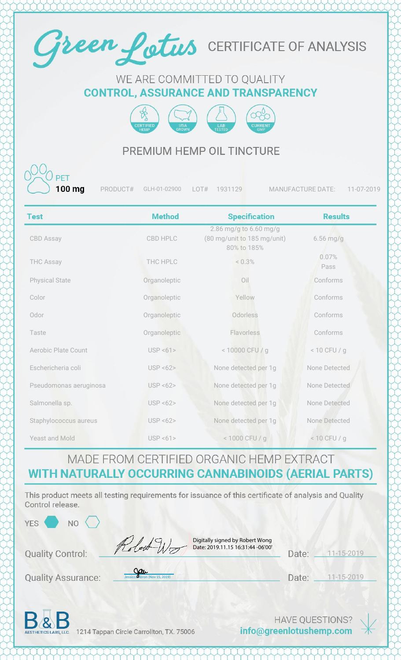

#### WE ARE COMMITTED TO QUALITY **CONTROL, ASSURANCE AND TRANSPARENCY**



### PREMIUM HEMP OIL TINCTURE

100 ma

PRODUCT# GLH-01-02900 LOT# 1931129 MANUFACTURE DATE: 11-07-2019

| <b>Test</b>                | <b>Method</b>   | <b>Specification</b>                                                 | <b>Results</b> |
|----------------------------|-----------------|----------------------------------------------------------------------|----------------|
| <b>CBD Assay</b>           | <b>CBD HPLC</b> | 2.86 mg/g to 6.60 mg/g<br>(80 mg/unit to 185 mg/unit)<br>80% to 185% | $6.56$ mg/g    |
| <b>THC Assay</b>           | THC HPLC        | $< 0.3\%$                                                            | 0.07%<br>Pass  |
| <b>Physical State</b>      | Organoleptic    | Oil                                                                  | Conforms       |
| Color                      | Organoleptic    | Yellow                                                               | Conforms       |
| Odor                       | Organoleptic    | Odorless                                                             | Conforms       |
| Taste                      | Organoleptic    | Flavorless                                                           | Conforms       |
| <b>Aerobic Plate Count</b> | USP < 61        | < 10000 CFU / g                                                      | $< 10$ CFU / g |
| Eschericheria coli         | USP < 62        | None detected per 1g                                                 | None Detected  |
| Pseudomonas aeruginosa     | USP < 62        | None detected per 1g                                                 | None Detected  |
| Salmonella sp.             | USP < 62        | None detected per 1g                                                 | None Detected  |
| Staphylococcus aureus      | USP < 62        | None detected per 1g                                                 | None Detected  |
| Yeast and Mold             | USP < 61        | < 1000 CFU / g                                                       | $< 10$ CFU / g |

#### MADE FROM CERTIFIED ORGANIC HEMP EXTRACT WITH NATURALLY OCCURRING CANNABINOIDS (AERIAL PARTS)

This product meets all testing requirements for issuance of this certificate of analysis and Quality Control release.

| YES<br>N <sub>O</sub>     |                                                                      |                  |            |  |
|---------------------------|----------------------------------------------------------------------|------------------|------------|--|
| <b>Quality Control:</b>   | Digitally signed by Robert Wong<br>Date: 2019.11.15 16:31:44 -06'00' | Date:            | 11-15-2019 |  |
| <b>Quality Assurance:</b> | Jessiccan bron (Nov 15, 2019)                                        | Date:            | 11-15-2019 |  |
| D.<br>$\sqrt{2}$          |                                                                      | HAVE OFFECTIONS? |            |  |

AESTHETICS LABS, LLC. 1214 Tappan Circle Carrollton, TX. 75006

info@greenlotushemp.com